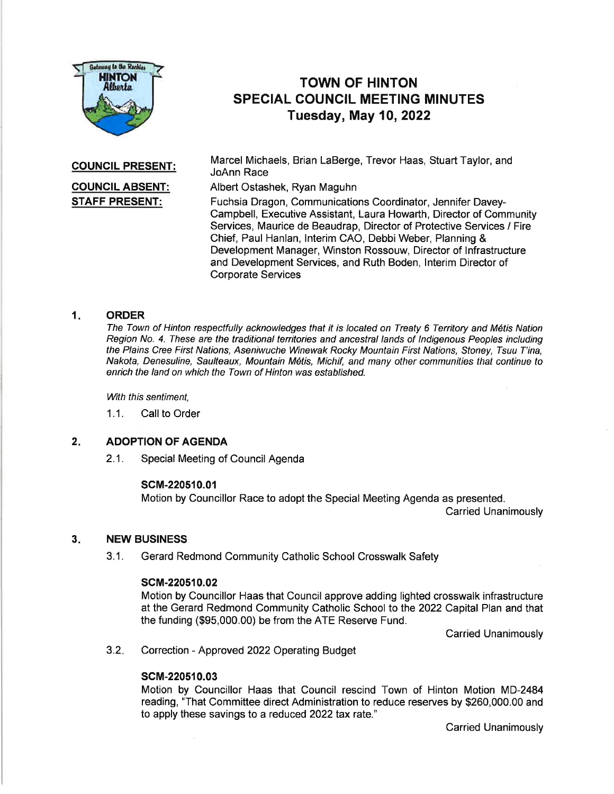

# TOWN OF HINTON SPECIAL COUNCIL MEETING MINUTES Tuesday, May 10,2022

COUNCIL PRESENT:

# COUNCIL ABSENT: STAFF PRESENT:

Marcel Michaels, Brian LaBerge, Trevor Haas, Stuart Taylor, and JoAnn Race

Albert Ostashek, Ryan Maguhn

Fuchsia Dragon, Communications Coordinator, Jennifer Davey-Campbell, Executive Assistant, Laura Howarth, Director of Community Services, Maurice de Beaudrap, Director of Protective Services / Fire Chief, Paul Hanlan, Interim CAO, Debbi Weber, Planning & Development Manager, Winston Rossouw, Director of lnfrastructure and Development Services, and Ruth Boden, lnterim Director of Corporate Services

### 1 **ORDER**

The Town of Hinton respectfully acknowledges that it is located on Treaty 6 Tenitory and M6tis Nation Region No. 4. These are the traditional territories and ancestral lands of Indigenous Peoples including the Plains Cree First Nations, Aseniwuche Winewak Rocky Mountain First Nations, Stoney, Tsuu T'ina, Nakota, Denesuline, Saulteaux, Mountain M6tis, Michif, and many other communities that continue to enrich the land on which the Town of Hinton was established.

With this sentiment,

1.1. Call to Order

### ADOPTION OF AGENDA 2.

2.1. Special Meeting of Council Agenda

# scM-220510.01

Motion by Councillor Race to adopt the Special Meeting Agenda as presented.

Carried Unanimously

#### NEW BUSINESS 3.

3.1. Gerard Redmond Community Catholic School Crosswalk Safety

### scM-220510.02

Motion by Councillor Haas that Council approve adding lighted crosswalk infrastructure at the Gerard Redmond Community Catholic School to the 2022 Capltal Plan and that the funding (\$95,000.00) be from the ATE Reserve Fund.

Carried Unanimously

Correction - Approved 2022 Operating Budget  $3.2.$ 

# scM-220510.03

Motion by Councillor Haas that Council rescind Town of Hinton Motion MD-2484 reading, "That Committee direct Administration to reduce reserves by \$260,000.00 and to apply these savings to a reduced 2022 tax rate."

Carried Unanimously